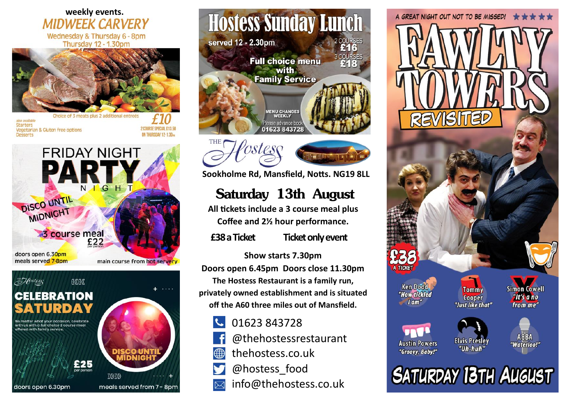#### **weekly events.MIDWFFK CARVERY** Wednesday & Thursday 6 - 8pm Thursday 12 - 1.30pm



also available Starters Vegetarian & Gluten free options Desserts

2 COURSE SPECIAL \$13.50 ON THURSDAY 12-1.30mg



## Abstess aaaa **CELEBRATION**

er what your occasion, celebrate with us with a full choice 3 course meal offered with family service

doors open 6.30pm







**Sookholme Rd, Mansfield, Notts. NG19 8LL**

# **Saturday 13th August**

**All tickets include a 3 course meal plus Coffee and 2½ hour performance.**

**£38 a Ticket Ticket only event**

**Show starts 7.30pm Doors open 6.45pm Doors close 11.30pm The Hostess Restaurant is a family run,**

**privately owned establishment and is situated off the A60 three miles out of Mansfield.**

- 01623 843728
- @thehostessrestaurant
- thehostess.co.uk ∰
- @hostess\_food
- info@thehostess.co.uk